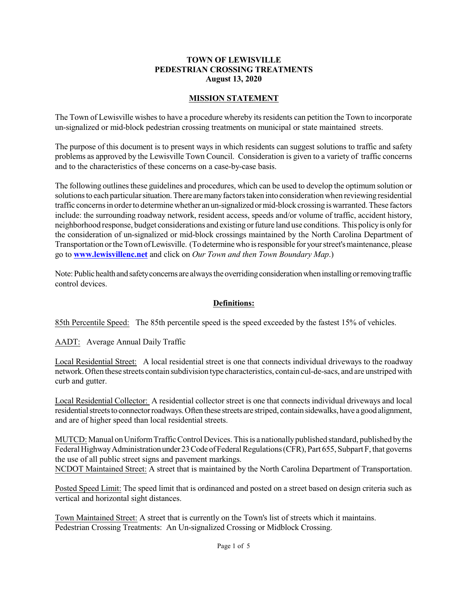#### **TOWN OF LEWISVILLE PEDESTRIAN CROSSING TREATMENTS August 13, 2020**

## **MISSION STATEMENT**

The Town of Lewisville wishes to have a procedure whereby its residents can petition the Town to incorporate un-signalized or mid-block pedestrian crossing treatments on municipal or state maintained streets.

The purpose of this document is to present ways in which residents can suggest solutions to traffic and safety problems as approved by the Lewisville Town Council. Consideration is given to a variety of traffic concerns and to the characteristics of these concerns on a case-by-case basis.

The following outlines these guidelines and procedures, which can be used to develop the optimum solution or solutions to each particular situation. There are many factors taken into consideration when reviewing residential traffic concerns in order to determine whether an un-signalized or mid-block crossing is warranted. These factors include: the surrounding roadway network, resident access, speeds and/or volume of traffic, accident history, neighborhood response, budget considerations and existing or future land use conditions. This policy is only for the consideration of un-signalized or mid-block crossings maintained by the North Carolina Department of Transportation ortheTownofLewisville. (Todeterminewho isresponsible for yourstreet'smaintenance, please go to **www.lewisvillenc.net** and click on *Our Town and then Town Boundary Map*.)

Note: Public health and safety concerns are always the overriding consideration when installing or removing traffic control devices.

#### **Definitions:**

85th Percentile Speed: The 85th percentile speed is the speed exceeded by the fastest 15% of vehicles.

AADT: Average Annual Daily Traffic

Local Residential Street: A local residential street is one that connects individual driveways to the roadway network. Often these streets contain subdivision type characteristics, contain cul-de-sacs, and are unstriped with curb and gutter.

Local Residential Collector: A residential collector street is one that connects individual driveways and local residential streets to connector roadways. Often these streets are striped, contain sidewalks, have a good alignment, and are of higher speed than local residential streets.

MUTCD: Manual on Uniform Traffic Control Devices. This is a nationally published standard, published by the Federal Highway Administration under 23 Code of Federal Regulations (CFR), Part 655, Subpart F, that governs the use of all public street signs and pavement markings. NCDOT Maintained Street: A street that is maintained by the North Carolina Department of Transportation.

Posted Speed Limit: The speed limit that is ordinanced and posted on a street based on design criteria such as vertical and horizontal sight distances.

Town Maintained Street: A street that is currently on the Town's list of streets which it maintains. Pedestrian Crossing Treatments: An Un-signalized Crossing or Midblock Crossing.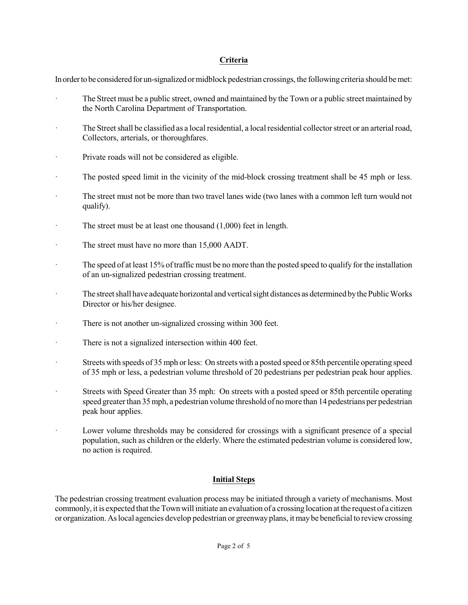## **Criteria**

In order to be considered for un-signalized or midblock pedestrian crossings, the following criteria should be met:

- The Street must be a public street, owned and maintained by the Town or a public street maintained by the North Carolina Department of Transportation.
- The Street shall be classified as a local residential, a local residential collector street or an arterial road, Collectors, arterials, or thoroughfares.
- · Private roads will not be considered as eligible.
- · The posted speed limit in the vicinity of the mid-block crossing treatment shall be 45 mph or less.
- The street must not be more than two travel lanes wide (two lanes with a common left turn would not qualify).
- · The street must be at least one thousand (1,000) feet in length.
- · The street must have no more than 15,000 AADT.
- The speed of at least 15% of traffic must be no more than the posted speed to qualify for the installation of an un-signalized pedestrian crossing treatment.
- The street shall have adequate horizontal and vertical sight distances as determined by the Public Works Director or his/her designee.
- · There is not another un-signalized crossing within 300 feet.
- · There is not a signalized intersection within 400 feet.
- · Streets with speeds of 35 mph orless: On streets with a posted speed or 85th percentile operating speed of 35 mph or less, a pedestrian volume threshold of 20 pedestrians per pedestrian peak hour applies.
- · Streets with Speed Greater than 35 mph: On streets with a posted speed or 85th percentile operating speed greater than 35 mph, a pedestrian volume threshold of no more than 14 pedestrians per pedestrian peak hour applies.
- Lower volume thresholds may be considered for crossings with a significant presence of a special population, such as children or the elderly. Where the estimated pedestrian volume is considered low, no action is required.

# **Initial Steps**

The pedestrian crossing treatment evaluation process may be initiated through a variety of mechanisms. Most commonly, it is expected that the Town will initiate an evaluation of a crossing location at the request of a citizen or organization. Aslocal agencies develop pedestrian or greenwayplans, itmaybe beneficial to reviewcrossing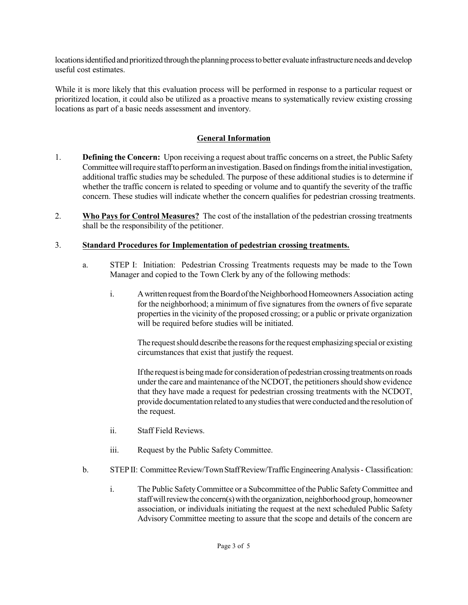locations identified and prioritized through the planning process to better evaluate infrastructure needs and develop useful cost estimates.

While it is more likely that this evaluation process will be performed in response to a particular request or prioritized location, it could also be utilized as a proactive means to systematically review existing crossing locations as part of a basic needs assessment and inventory.

# **General Information**

- 1. **Defining the Concern:** Upon receiving a request about traffic concerns on a street, the Public Safety Committee will require staff to perform an investigation. Based on findings from the initial investigation, additional traffic studies may be scheduled. The purpose of these additional studies is to determine if whether the traffic concern is related to speeding or volume and to quantify the severity of the traffic concern. These studies will indicate whether the concern qualifies for pedestrian crossing treatments.
- 2. **Who Pays for Control Measures?** The cost of the installation of the pedestrian crossing treatments shall be the responsibility of the petitioner.

# 3. **Standard Procedures for Implementation of pedestrian crossing treatments.**

- a. STEP I: Initiation: Pedestrian Crossing Treatments requests may be made to the Town Manager and copied to the Town Clerk by any of the following methods:
	- i. A written request from the Board of the Neighborhood Homeowners Association acting for the neighborhood; a minimum of five signatures from the owners of five separate properties in the vicinity of the proposed crossing; or a public or private organization will be required before studies will be initiated.

The request should describe the reasons for the request emphasizing special or existing circumstances that exist that justify the request.

If the request is being made for consideration of pedestrian crossing treatments on roads under the care and maintenance of the NCDOT, the petitioners should show evidence that they have made a request for pedestrian crossing treatments with the NCDOT, provide documentation related to anystudiesthatwere conductedandthe resolution of the request.

- ii. Staff Field Reviews.
- iii. Request by the Public Safety Committee.
- b. STEP II: Committee Review/Town StaffReview/Traffic Engineering Analysis Classification:
	- i. The Public SafetyCommittee or a Subcommittee ofthe Public SafetyCommittee and staff will review the concern(s) with the organization, neighborhood group, homeowner association, or individuals initiating the request at the next scheduled Public Safety Advisory Committee meeting to assure that the scope and details of the concern are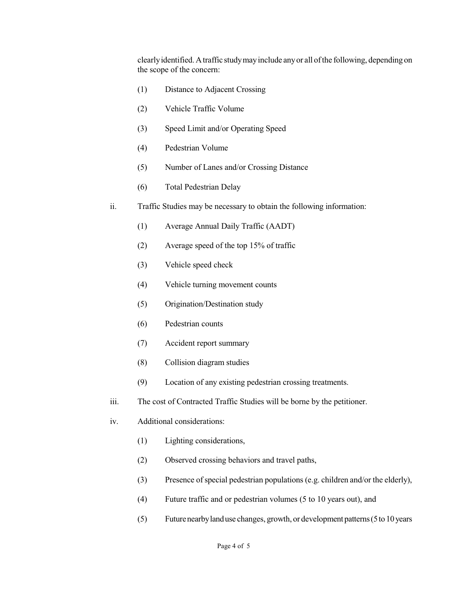clearlyidentified. Atraffic studymayinclude anyor all ofthe following, depending on the scope of the concern:

- (1) Distance to Adjacent Crossing
- (2) Vehicle Traffic Volume
- (3) Speed Limit and/or Operating Speed
- (4) Pedestrian Volume
- (5) Number of Lanes and/or Crossing Distance
- (6) Total Pedestrian Delay
- ii. Traffic Studies may be necessary to obtain the following information:
	- (1) Average Annual Daily Traffic (AADT)
	- (2) Average speed of the top 15% of traffic
	- (3) Vehicle speed check
	- (4) Vehicle turning movement counts
	- (5) Origination/Destination study
	- (6) Pedestrian counts
	- (7) Accident report summary
	- (8) Collision diagram studies
	- (9) Location of any existing pedestrian crossing treatments.
- iii. The cost of Contracted Traffic Studies will be borne by the petitioner.
- iv. Additional considerations:
	- (1) Lighting considerations,
	- (2) Observed crossing behaviors and travel paths,
	- (3) Presence of special pedestrian populations (e.g. children and/or the elderly),
	- (4) Future traffic and or pedestrian volumes (5 to 10 years out), and
	- (5) Futurenearbylanduse changes, growth, or development patterns(5to10years